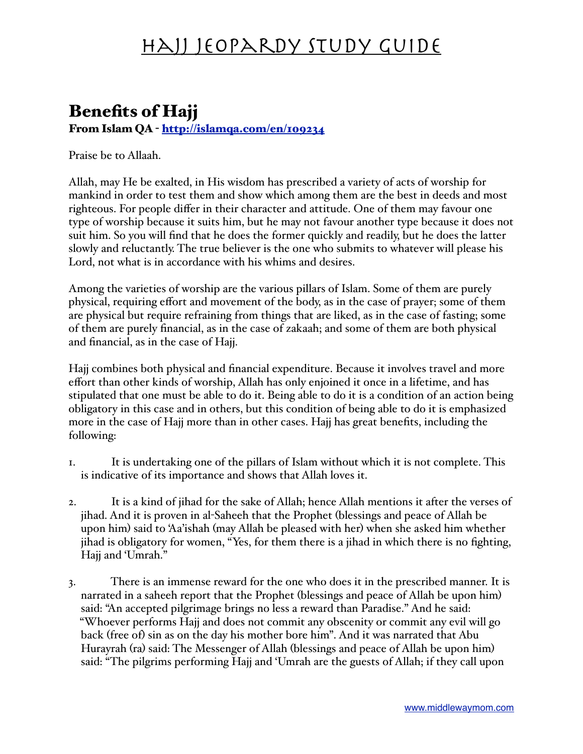#### Benefits of Hajj From Islam QA - <http://islamqa.com/en/109234>

Praise be to Allaah.

Allah, may He be exalted, in His wisdom has prescribed a variety of acts of worship for mankind in order to test them and show which among them are the best in deeds and most righteous. For people differ in their character and attitude. One of them may favour one type of worship because it suits him, but he may not favour another type because it does not suit him. So you will find that he does the former quickly and readily, but he does the latter slowly and reluctantly. The true believer is the one who submits to whatever will please his Lord, not what is in accordance with his whims and desires.

Among the varieties of worship are the various pillars of Islam. Some of them are purely physical, requiring effort and movement of the body, as in the case of prayer; some of them are physical but require refraining from things that are liked, as in the case of fasting; some of them are purely financial, as in the case of zakaah; and some of them are both physical and financial, as in the case of Hajj.

Hajj combines both physical and financial expenditure. Because it involves travel and more effort than other kinds of worship, Allah has only enjoined it once in a lifetime, and has stipulated that one must be able to do it. Being able to do it is a condition of an action being obligatory in this case and in others, but this condition of being able to do it is emphasized more in the case of Hajj more than in other cases. Hajj has great benefits, including the following:

- 1. It is undertaking one of the pillars of Islam without which it is not complete. This is indicative of its importance and shows that Allah loves it.
- 2. It is a kind of jihad for the sake of Allah; hence Allah mentions it after the verses of jihad. And it is proven in al-Saheeh that the Prophet (blessings and peace of Allah be upon him) said to 'Aa'ishah (may Allah be pleased with her) when she asked him whether jihad is obligatory for women, "Yes, for them there is a jihad in which there is no fighting, Hajj and 'Umrah."
- 3. There is an immense reward for the one who does it in the prescribed manner. It is narrated in a saheeh report that the Prophet (blessings and peace of Allah be upon him) said: "An accepted pilgrimage brings no less a reward than Paradise." And he said: "Whoever performs Hajj and does not commit any obscenity or commit any evil will go back (free of) sin as on the day his mother bore him". And it was narrated that Abu Hurayrah (ra) said: The Messenger of Allah (blessings and peace of Allah be upon him) said: "The pilgrims performing Hajj and 'Umrah are the guests of Allah; if they call upon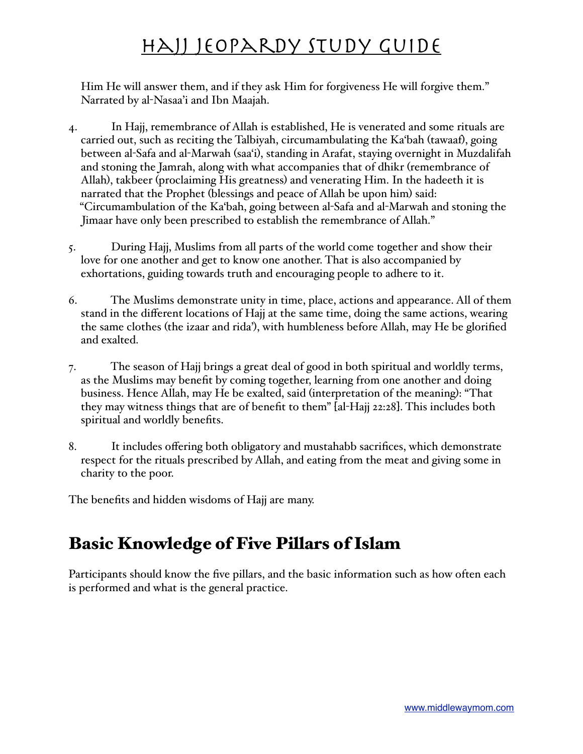Him He will answer them, and if they ask Him for forgiveness He will forgive them." Narrated by al-Nasaa'i and Ibn Maajah.

- 4. In Hajj, remembrance of Allah is established, He is venerated and some rituals are carried out, such as reciting the Talbiyah, circumambulating the Ka'bah (tawaaf), going between al-Safa and al-Marwah (saa'i), standing in Arafat, staying overnight in Muzdalifah and stoning the Jamrah, along with what accompanies that of dhikr (remembrance of Allah), takbeer (proclaiming His greatness) and venerating Him. In the hadeeth it is narrated that the Prophet (blessings and peace of Allah be upon him) said: "Circumambulation of the Ka'bah, going between al-Safa and al-Marwah and stoning the Jimaar have only been prescribed to establish the remembrance of Allah."
- 5. During Hajj, Muslims from all parts of the world come together and show their love for one another and get to know one another. That is also accompanied by exhortations, guiding towards truth and encouraging people to adhere to it.
- 6. The Muslims demonstrate unity in time, place, actions and appearance. All of them stand in the different locations of Hajj at the same time, doing the same actions, wearing the same clothes (the izaar and rida'), with humbleness before Allah, may He be glorified and exalted.
- 7. The season of Hajj brings a great deal of good in both spiritual and worldly terms, as the Muslims may benefit by coming together, learning from one another and doing business. Hence Allah, may He be exalted, said (interpretation of the meaning): "That they may witness things that are of benefit to them" [al-Hajj 22:28]. This includes both spiritual and worldly benefits.
- 8. It includes offering both obligatory and mustahabb sacrifices, which demonstrate respect for the rituals prescribed by Allah, and eating from the meat and giving some in charity to the poor.

The benefits and hidden wisdoms of Hajj are many.

#### Basic Knowledge of Five Pillars of Islam

Participants should know the five pillars, and the basic information such as how often each is performed and what is the general practice.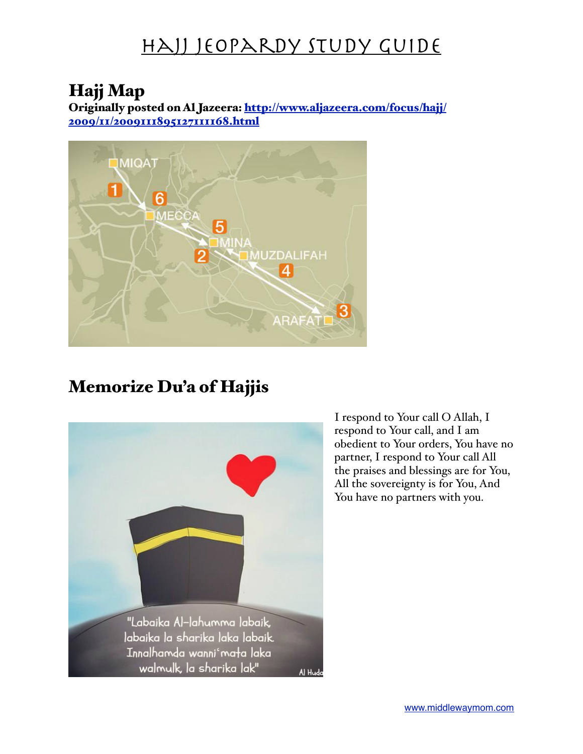#### Hajj Map

Originally posted on Al Jazeera: [http://www.aljazeera.com/focus/hajj/](http://www.aljazeera.com/focus/hajj/2009/11/2009111895127111168.html) [2009/11/2009111895127111168.html](http://www.aljazeera.com/focus/hajj/2009/11/2009111895127111168.html)



#### Memorize Du'a of Hajjis



I respond to Your call O Allah, I respond to Your call, and I am obedient to Your orders, You have no partner, I respond to Your call All the praises and blessings are for You, All the sovereignty is for You, And You have no partners with you.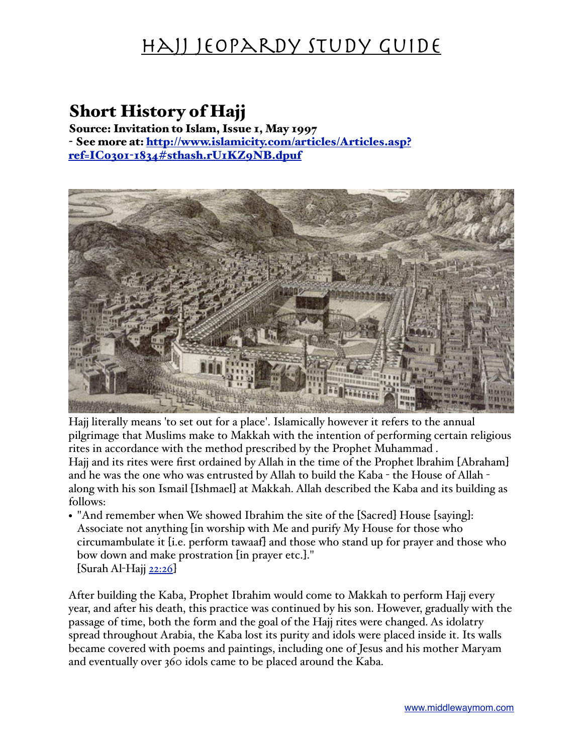#### Short History of Hajj

Source: Invitation to Islam, Issue 1, May 1997 - See more at: [http://www.islamicity.com/articles/Articles.asp?](http://www.islamicity.com/articles/Articles.asp?ref=IC0301-1834#sthash.rU1KZ9NB.dpuf) ref=IC0301-[1834#sthash.rU1KZ9NB.dpuf](http://www.islamicity.com/articles/Articles.asp?ref=IC0301-1834#sthash.rU1KZ9NB.dpuf)



Hajj literally means 'to set out for a place'. Islamically however it refers to the annual pilgrimage that Muslims make to Makkah with the intention of performing certain religious rites in accordance with the method prescribed by the Prophet Muhammad . Hajj and its rites were first ordained by Allah in the time of the Prophet lbrahim [Abraham] and he was the one who was entrusted by Allah to build the Kaba - the House of Allah -

along with his son Ismail [Ishmael] at Makkah. Allah described the Kaba and its building as follows:

• "And remember when We showed Ibrahim the site of the [Sacred] House [saying]: Associate not anything [in worship with Me and purify My House for those who circumambulate it [i.e. perform tawaaf] and those who stand up for prayer and those who bow down and make prostration [in prayer etc.]."  $\left[$ Surah Al-Hajj [22:26](http://db.islamicity.com:81/quran/FMPro?-db=sura.fp5&-lay=entry&-format=sreply.htm&-error=error.htm&ayat_text=22%3A26&-max=7&-find) $\right]$ 

After building the Kaba, Prophet Ibrahim would come to Makkah to perform Hajj every year, and after his death, this practice was continued by his son. However, gradually with the passage of time, both the form and the goal of the Hajj rites were changed. As idolatry spread throughout Arabia, the Kaba lost its purity and idols were placed inside it. Its walls became covered with poems and paintings, including one of Jesus and his mother Maryam and eventually over 360 idols came to be placed around the Kaba.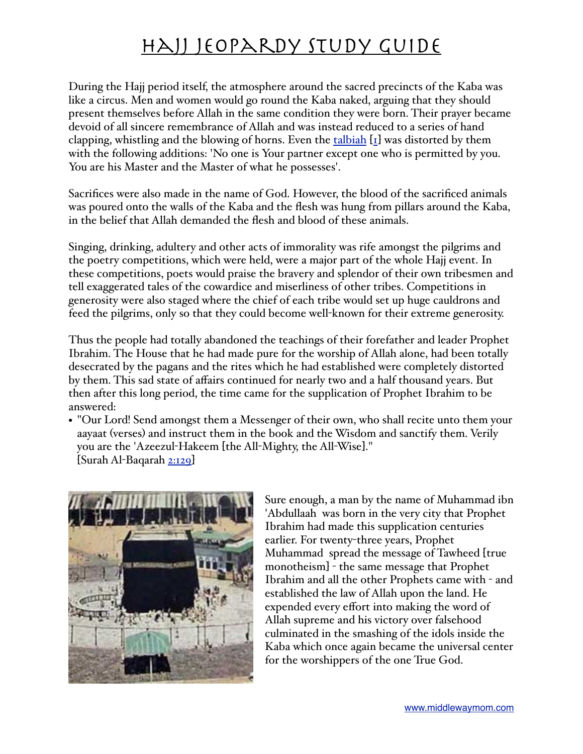During the Hajj period itself, the atmosphere around the sacred precincts of the Kaba was like a circus. Men and women would go round the Kaba naked, arguing that they should present themselves before Allah in the same condition they were born. Their prayer became devoid of all sincere remembrance of Allah and was instead reduced to a series of hand clapping, whistling and the blowing of horns. Even the  $t$  [talbiah](http://www.islamicity.com/m/mediadisplay.asp?ref=814)  $[t]$  was distorted by them with the following additions: 'No one is Your partner except one who is permitted by you. You are his Master and the Master of what he possesses'.

Sacrifices were also made in the name of God. However, the blood of the sacrificed animals was poured onto the walls of the Kaba and the flesh was hung from pillars around the Kaba, in the belief that Allah demanded the flesh and blood of these animals.

Singing, drinking, adultery and other acts of immorality was rife amongst the pilgrims and the poetry competitions, which were held, were a major part of the whole Hajj event. In these competitions, poets would praise the bravery and splendor of their own tribesmen and tell exaggerated tales of the cowardice and miserliness of other tribes. Competitions in generosity were also staged where the chief of each tribe would set up huge cauldrons and feed the pilgrims, only so that they could become well-known for their extreme generosity.

Thus the people had totally abandoned the teachings of their forefather and leader Prophet Ibrahim. The House that he had made pure for the worship of Allah alone, had been totally desecrated by the pagans and the rites which he had established were completely distorted by them. This sad state of affairs continued for nearly two and a half thousand years. But then after this long period, the time came for the supplication of Prophet Ibrahim to be answered:

• "Our Lord! Send amongst them a Messenger of their own, who shall recite unto them your aayaat (verses) and instruct them in the book and the Wisdom and sanctify them. Verily you are the 'Azeezul-Hakeem [the All-Mighty, the All-Wise]." [Surah Al-Baqarah [2:129](http://db.islamicity.com:81/quran/FMPro?-db=sura.fp5&-lay=entry&-format=sreply.htm&-error=error.htm&ayat_text=2%3A129&-max=7&-find)]



Sure enough, a man by the name of Muhammad ibn 'Abdullaah was born in the very city that Prophet Ibrahim had made this supplication centuries earlier. For twenty-three years, Prophet Muhammad spread the message of Tawheed [true monotheism] - the same message that Prophet Ibrahim and all the other Prophets came with - and established the law of Allah upon the land. He expended every effort into making the word of Allah supreme and his victory over falsehood culminated in the smashing of the idols inside the Kaba which once again became the universal center for the worshippers of the one True God.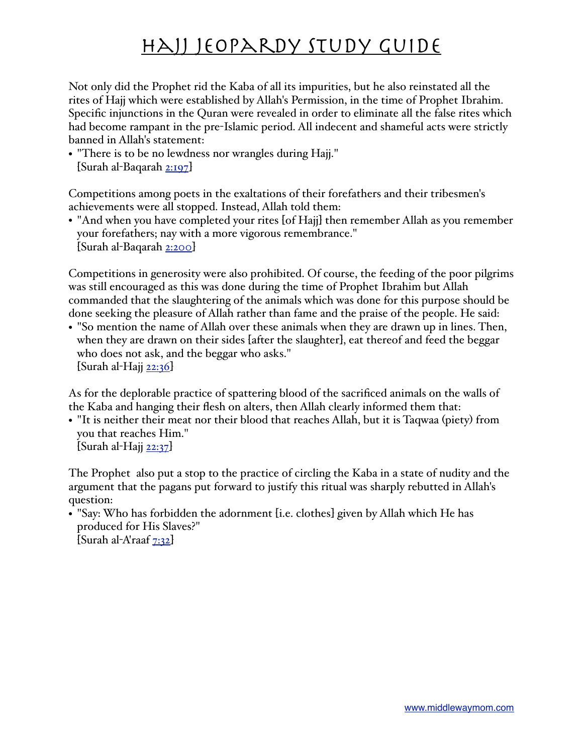Not only did the Prophet rid the Kaba of all its impurities, but he also reinstated all the rites of Hajj which were established by Allah's Permission, in the time of Prophet Ibrahim. Specific injunctions in the Quran were revealed in order to eliminate all the false rites which had become rampant in the pre-Islamic period. All indecent and shameful acts were strictly banned in Allah's statement:

• "There is to be no lewdness nor wrangles during Hajj." [Surah al-Baqarah [2:197](http://db.islamicity.com:81/quran/FMPro?-db=sura.fp5&-lay=entry&-format=sreply.htm&-error=error.htm&ayat_text=2%3A197&-max=7&-find)]

Competitions among poets in the exaltations of their forefathers and their tribesmen's achievements were all stopped. Instead, Allah told them:

• "And when you have completed your rites [of Hajj] then remember Allah as you remember your forefathers; nay with a more vigorous remembrance." [Surah al-Baqarah [2:200](http://db.islamicity.com:81/quran/FMPro?-db=sura.fp5&-lay=entry&-format=sreply.htm&-error=error.htm&ayat_text=2%3A200&-max=7&-find)]

Competitions in generosity were also prohibited. Of course, the feeding of the poor pilgrims was still encouraged as this was done during the time of Prophet Ibrahim but Allah commanded that the slaughtering of the animals which was done for this purpose should be done seeking the pleasure of Allah rather than fame and the praise of the people. He said:

• "So mention the name of Allah over these animals when they are drawn up in lines. Then, when they are drawn on their sides [after the slaughter], eat thereof and feed the beggar who does not ask, and the beggar who asks."  $\left[$ Surah al-Hajj [22:36](http://db.islamicity.com:81/quran/FMPro?-db=sura.fp5&-lay=entry&-format=sreply.htm&-error=error.htm&ayat_text=22%3A36&-max=7&-find) $\right]$ 

As for the deplorable practice of spattering blood of the sacrificed animals on the walls of the Kaba and hanging their flesh on alters, then Allah clearly informed them that:

• "It is neither their meat nor their blood that reaches Allah, but it is Taqwaa (piety) from you that reaches Him."

 $\{\text{Surah al-Hajj } 22:37\}$  $\{\text{Surah al-Hajj } 22:37\}$  $\{\text{Surah al-Hajj } 22:37\}$ 

The Prophet also put a stop to the practice of circling the Kaba in a state of nudity and the argument that the pagans put forward to justify this ritual was sharply rebutted in Allah's question:

• "Say: Who has forbidden the adornment [i.e. clothes] given by Allah which He has produced for His Slaves?"  $\left[\text{Surah al-A'raaf } 7:32\right]$  $\left[\text{Surah al-A'raaf } 7:32\right]$  $\left[\text{Surah al-A'raaf } 7:32\right]$